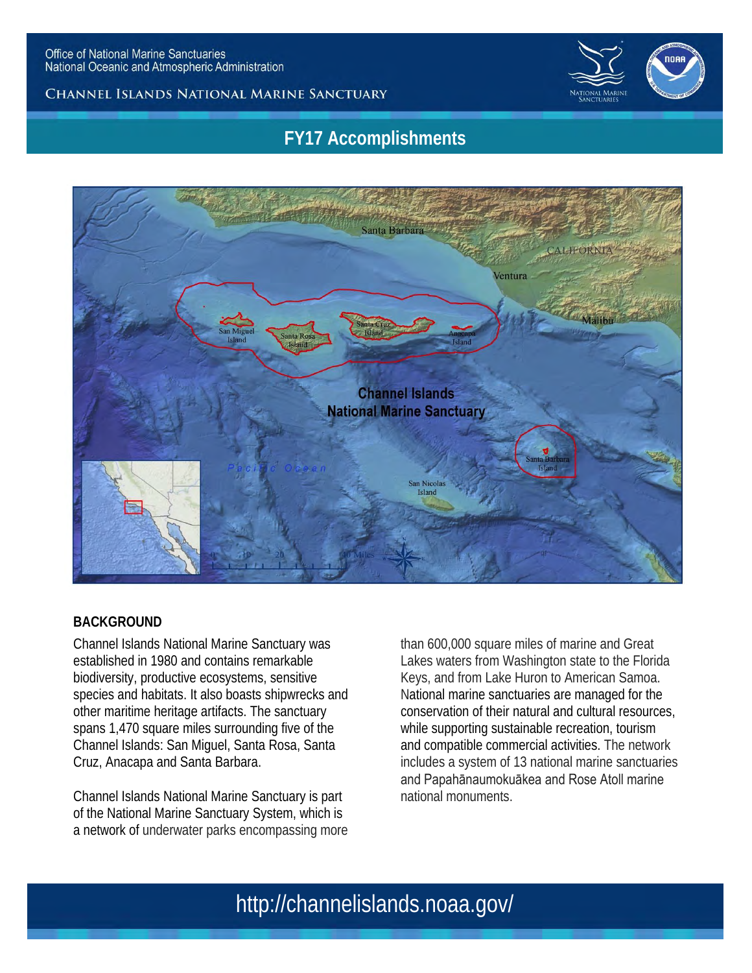



### **FY17 Accomplishments**



#### **BACKGROUND**

Channel Islands National Marine Sanctuary was established in 1980 and contains remarkable biodiversity, productive ecosystems, sensitive species and habitats. It also boasts shipwrecks and other maritime heritage artifacts. The sanctuary spans 1,470 square miles surrounding five of the Channel Islands: San Miguel, Santa Rosa, Santa Cruz, Anacapa and Santa Barbara.

Channel Islands National Marine Sanctuary is part of the National Marine Sanctuary System, which is a network of underwater parks encompassing more

than 600,000 square miles of marine and Great Lakes waters from Washington state to the Florida Keys, and from Lake Huron to American Samoa. National marine sanctuaries are managed for the conservation of their natural and cultural resources, while supporting sustainable recreation, tourism and compatible commercial activities. The network includes a system of 13 national marine sanctuaries and Papahānaumokuākea and Rose Atoll marine national monuments.

## http://channelislands.noaa.gov/